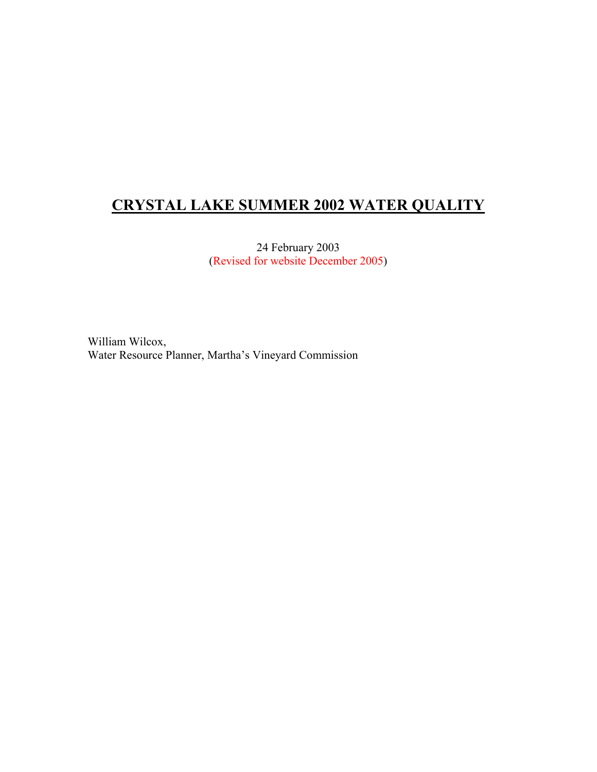# **CRYSTAL LAKE SUMMER 2002 WATER QUALITY**

24 February 2003 (Revised for website December 2005)

William Wilcox, Water Resource Planner, Martha's Vineyard Commission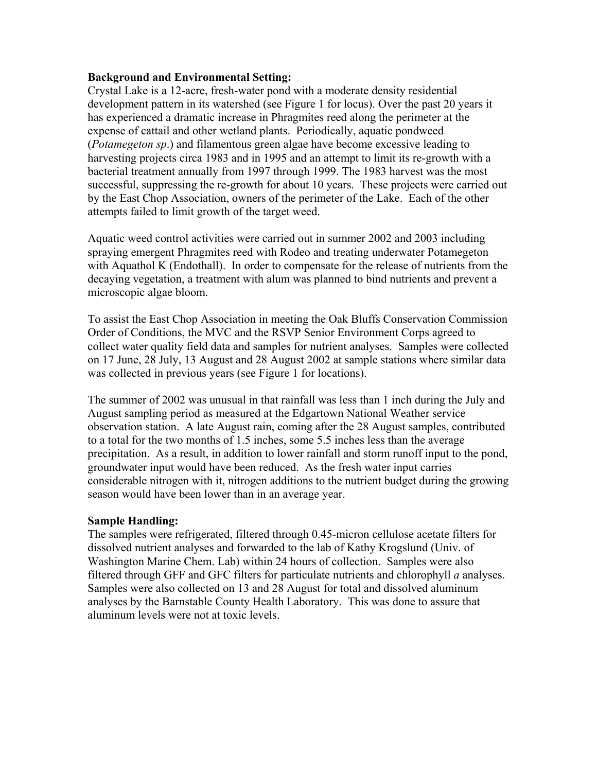#### **Background and Environmental Setting:**

Crystal Lake is a 12-acre, fresh-water pond with a moderate density residential development pattern in its watershed (see Figure 1 for locus). Over the past 20 years it has experienced a dramatic increase in Phragmites reed along the perimeter at the expense of cattail and other wetland plants. Periodically, aquatic pondweed (*Potamegeton sp*.) and filamentous green algae have become excessive leading to harvesting projects circa 1983 and in 1995 and an attempt to limit its re-growth with a bacterial treatment annually from 1997 through 1999. The 1983 harvest was the most successful, suppressing the re-growth for about 10 years. These projects were carried out by the East Chop Association, owners of the perimeter of the Lake. Each of the other attempts failed to limit growth of the target weed.

Aquatic weed control activities were carried out in summer 2002 and 2003 including spraying emergent Phragmites reed with Rodeo and treating underwater Potamegeton with Aquathol K (Endothall). In order to compensate for the release of nutrients from the decaying vegetation, a treatment with alum was planned to bind nutrients and prevent a microscopic algae bloom.

To assist the East Chop Association in meeting the Oak Bluffs Conservation Commission Order of Conditions, the MVC and the RSVP Senior Environment Corps agreed to collect water quality field data and samples for nutrient analyses. Samples were collected on 17 June, 28 July, 13 August and 28 August 2002 at sample stations where similar data was collected in previous years (see Figure 1 for locations).

The summer of 2002 was unusual in that rainfall was less than 1 inch during the July and August sampling period as measured at the Edgartown National Weather service observation station. A late August rain, coming after the 28 August samples, contributed to a total for the two months of 1.5 inches, some 5.5 inches less than the average precipitation. As a result, in addition to lower rainfall and storm runoff input to the pond, groundwater input would have been reduced. As the fresh water input carries considerable nitrogen with it, nitrogen additions to the nutrient budget during the growing season would have been lower than in an average year.

#### **Sample Handling:**

The samples were refrigerated, filtered through 0.45-micron cellulose acetate filters for dissolved nutrient analyses and forwarded to the lab of Kathy Krogslund (Univ. of Washington Marine Chem. Lab) within 24 hours of collection. Samples were also filtered through GFF and GFC filters for particulate nutrients and chlorophyll *a* analyses. Samples were also collected on 13 and 28 August for total and dissolved aluminum analyses by the Barnstable County Health Laboratory. This was done to assure that aluminum levels were not at toxic levels.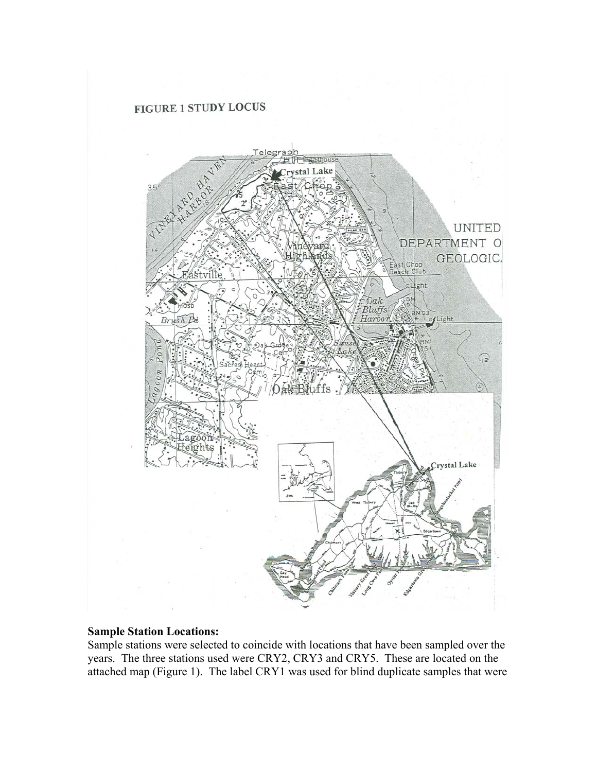

#### **Sample Station Locations:**

Sample stations were selected to coincide with locations that have been sampled over the years. The three stations used were CRY2, CRY3 and CRY5. These are located on the attached map (Figure 1). The label CRY1 was used for blind duplicate samples that were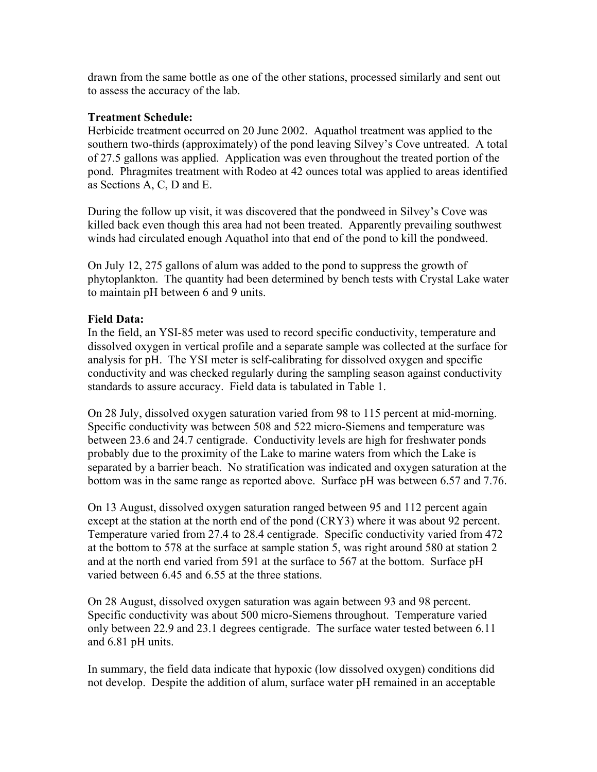drawn from the same bottle as one of the other stations, processed similarly and sent out to assess the accuracy of the lab.

## **Treatment Schedule:**

Herbicide treatment occurred on 20 June 2002. Aquathol treatment was applied to the southern two-thirds (approximately) of the pond leaving Silvey's Cove untreated. A total of 27.5 gallons was applied. Application was even throughout the treated portion of the pond. Phragmites treatment with Rodeo at 42 ounces total was applied to areas identified as Sections A, C, D and E.

During the follow up visit, it was discovered that the pondweed in Silvey's Cove was killed back even though this area had not been treated. Apparently prevailing southwest winds had circulated enough Aquathol into that end of the pond to kill the pondweed.

On July 12, 275 gallons of alum was added to the pond to suppress the growth of phytoplankton. The quantity had been determined by bench tests with Crystal Lake water to maintain pH between 6 and 9 units.

## **Field Data:**

In the field, an YSI-85 meter was used to record specific conductivity, temperature and dissolved oxygen in vertical profile and a separate sample was collected at the surface for analysis for pH. The YSI meter is self-calibrating for dissolved oxygen and specific conductivity and was checked regularly during the sampling season against conductivity standards to assure accuracy. Field data is tabulated in Table 1.

On 28 July, dissolved oxygen saturation varied from 98 to 115 percent at mid-morning. Specific conductivity was between 508 and 522 micro-Siemens and temperature was between 23.6 and 24.7 centigrade. Conductivity levels are high for freshwater ponds probably due to the proximity of the Lake to marine waters from which the Lake is separated by a barrier beach. No stratification was indicated and oxygen saturation at the bottom was in the same range as reported above. Surface pH was between 6.57 and 7.76.

On 13 August, dissolved oxygen saturation ranged between 95 and 112 percent again except at the station at the north end of the pond (CRY3) where it was about 92 percent. Temperature varied from 27.4 to 28.4 centigrade. Specific conductivity varied from 472 at the bottom to 578 at the surface at sample station 5, was right around 580 at station 2 and at the north end varied from 591 at the surface to 567 at the bottom. Surface pH varied between 6.45 and 6.55 at the three stations.

On 28 August, dissolved oxygen saturation was again between 93 and 98 percent. Specific conductivity was about 500 micro-Siemens throughout. Temperature varied only between 22.9 and 23.1 degrees centigrade. The surface water tested between 6.11 and 6.81 pH units.

In summary, the field data indicate that hypoxic (low dissolved oxygen) conditions did not develop. Despite the addition of alum, surface water pH remained in an acceptable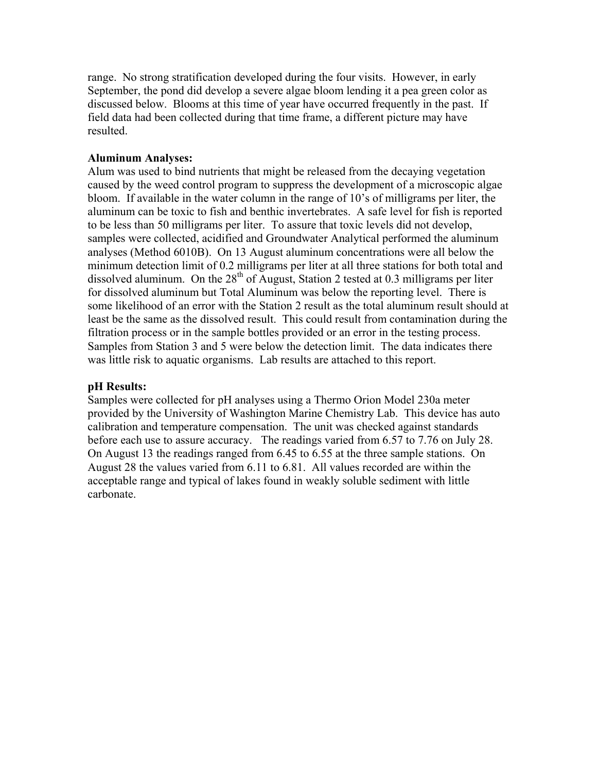range. No strong stratification developed during the four visits. However, in early September, the pond did develop a severe algae bloom lending it a pea green color as discussed below. Blooms at this time of year have occurred frequently in the past. If field data had been collected during that time frame, a different picture may have resulted.

## **Aluminum Analyses:**

Alum was used to bind nutrients that might be released from the decaying vegetation caused by the weed control program to suppress the development of a microscopic algae bloom. If available in the water column in the range of 10's of milligrams per liter, the aluminum can be toxic to fish and benthic invertebrates. A safe level for fish is reported to be less than 50 milligrams per liter. To assure that toxic levels did not develop, samples were collected, acidified and Groundwater Analytical performed the aluminum analyses (Method 6010B). On 13 August aluminum concentrations were all below the minimum detection limit of 0.2 milligrams per liter at all three stations for both total and dissolved aluminum. On the  $28<sup>th</sup>$  of August, Station 2 tested at 0.3 milligrams per liter for dissolved aluminum but Total Aluminum was below the reporting level. There is some likelihood of an error with the Station 2 result as the total aluminum result should at least be the same as the dissolved result. This could result from contamination during the filtration process or in the sample bottles provided or an error in the testing process. Samples from Station 3 and 5 were below the detection limit. The data indicates there was little risk to aquatic organisms. Lab results are attached to this report.

## **pH Results:**

Samples were collected for pH analyses using a Thermo Orion Model 230a meter provided by the University of Washington Marine Chemistry Lab. This device has auto calibration and temperature compensation. The unit was checked against standards before each use to assure accuracy. The readings varied from 6.57 to 7.76 on July 28. On August 13 the readings ranged from 6.45 to 6.55 at the three sample stations. On August 28 the values varied from 6.11 to 6.81. All values recorded are within the acceptable range and typical of lakes found in weakly soluble sediment with little carbonate.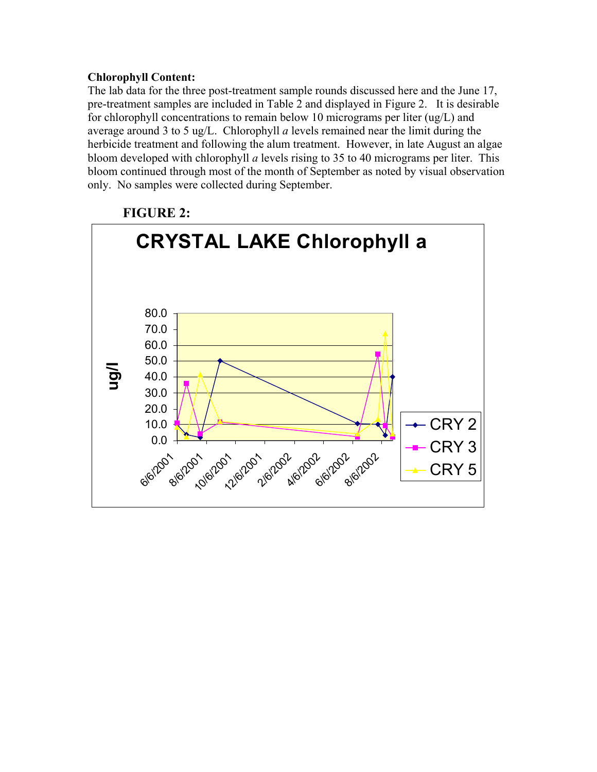## **Chlorophyll Content:**

The lab data for the three post-treatment sample rounds discussed here and the June 17, pre-treatment samples are included in Table 2 and displayed in Figure 2. It is desirable for chlorophyll concentrations to remain below 10 micrograms per liter (ug/L) and average around 3 to 5 ug/L. Chlorophyll *a* levels remained near the limit during the herbicide treatment and following the alum treatment. However, in late August an algae bloom developed with chlorophyll *a* levels rising to 35 to 40 micrograms per liter. This bloom continued through most of the month of September as noted by visual observation only. No samples were collected during September.



## **FIGURE 2:**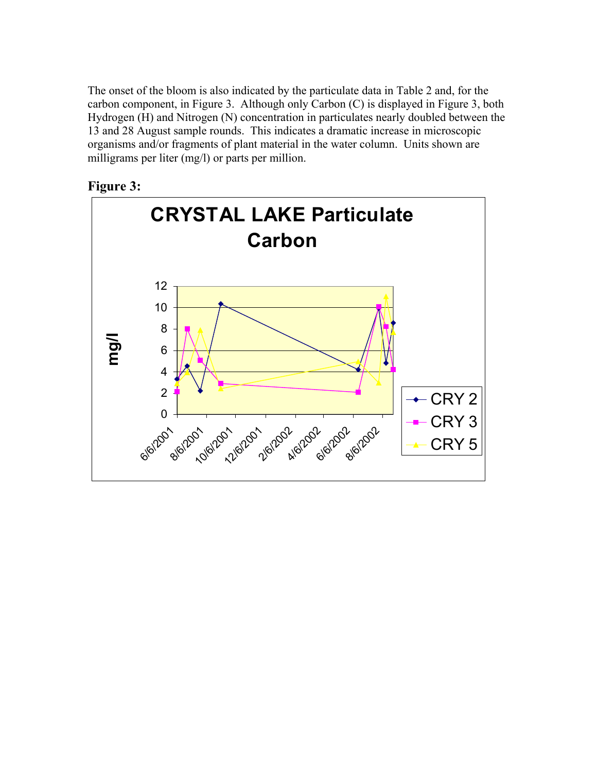The onset of the bloom is also indicated by the particulate data in Table 2 and, for the carbon component, in Figure 3. Although only Carbon (C) is displayed in Figure 3, both Hydrogen (H) and Nitrogen (N) concentration in particulates nearly doubled between the 13 and 28 August sample rounds. This indicates a dramatic increase in microscopic organisms and/or fragments of plant material in the water column. Units shown are milligrams per liter (mg/l) or parts per million.



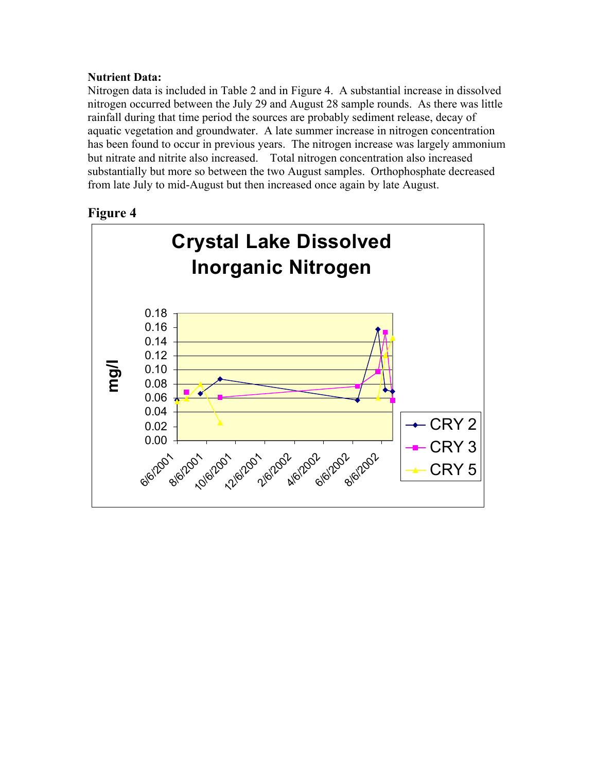## **Nutrient Data:**

Nitrogen data is included in Table 2 and in Figure 4. A substantial increase in dissolved nitrogen occurred between the July 29 and August 28 sample rounds. As there was little rainfall during that time period the sources are probably sediment release, decay of aquatic vegetation and groundwater. A late summer increase in nitrogen concentration has been found to occur in previous years. The nitrogen increase was largely ammonium but nitrate and nitrite also increased. Total nitrogen concentration also increased substantially but more so between the two August samples. Orthophosphate decreased from late July to mid-August but then increased once again by late August.

## **Figure 4**

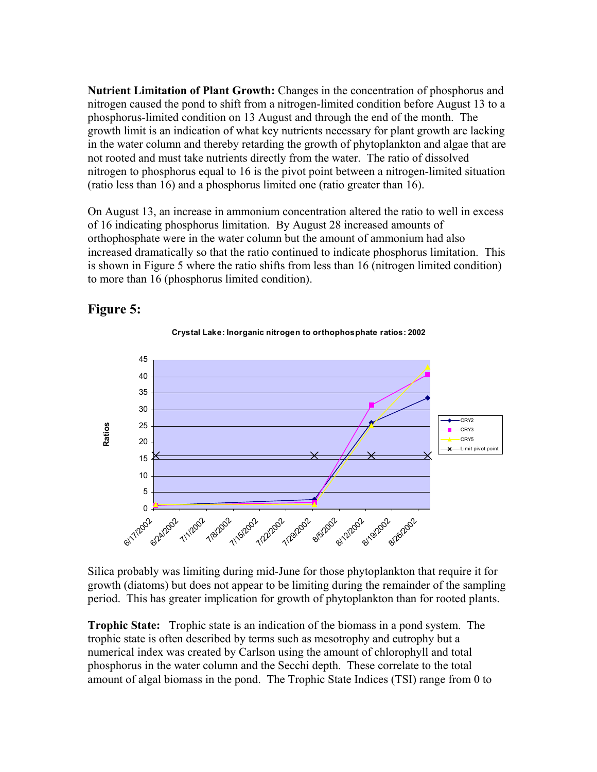**Nutrient Limitation of Plant Growth:** Changes in the concentration of phosphorus and nitrogen caused the pond to shift from a nitrogen-limited condition before August 13 to a phosphorus-limited condition on 13 August and through the end of the month. The growth limit is an indication of what key nutrients necessary for plant growth are lacking in the water column and thereby retarding the growth of phytoplankton and algae that are not rooted and must take nutrients directly from the water. The ratio of dissolved nitrogen to phosphorus equal to 16 is the pivot point between a nitrogen-limited situation (ratio less than 16) and a phosphorus limited one (ratio greater than 16).

On August 13, an increase in ammonium concentration altered the ratio to well in excess of 16 indicating phosphorus limitation. By August 28 increased amounts of orthophosphate were in the water column but the amount of ammonium had also increased dramatically so that the ratio continued to indicate phosphorus limitation. This is shown in Figure 5 where the ratio shifts from less than 16 (nitrogen limited condition) to more than 16 (phosphorus limited condition).





**Crystal Lake: Inorganic nitrogen to orthophosphate ratios: 2002**

Silica probably was limiting during mid-June for those phytoplankton that require it for growth (diatoms) but does not appear to be limiting during the remainder of the sampling period. This has greater implication for growth of phytoplankton than for rooted plants.

**Trophic State:** Trophic state is an indication of the biomass in a pond system. The trophic state is often described by terms such as mesotrophy and eutrophy but a numerical index was created by Carlson using the amount of chlorophyll and total phosphorus in the water column and the Secchi depth. These correlate to the total amount of algal biomass in the pond. The Trophic State Indices (TSI) range from 0 to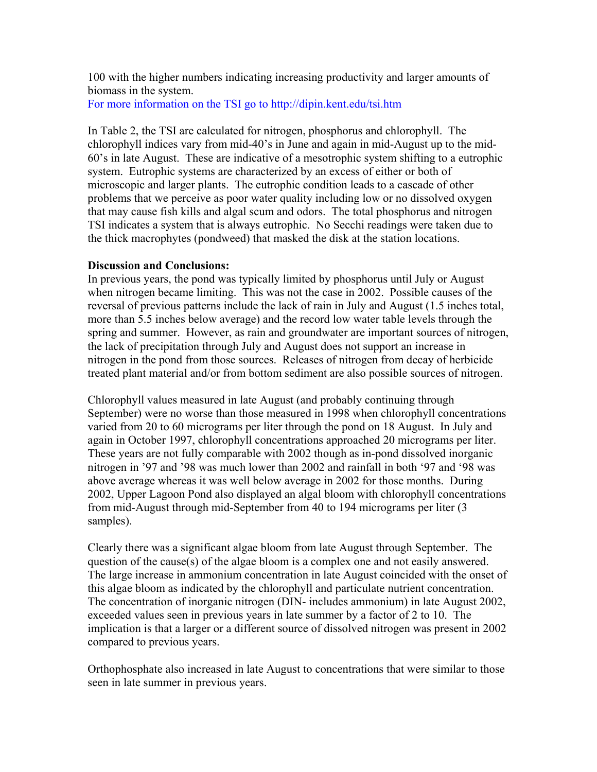100 with the higher numbers indicating increasing productivity and larger amounts of biomass in the system.

For more information on the TSI go to http://dipin.kent.edu/tsi.htm

In Table 2, the TSI are calculated for nitrogen, phosphorus and chlorophyll. The chlorophyll indices vary from mid-40's in June and again in mid-August up to the mid-60's in late August. These are indicative of a mesotrophic system shifting to a eutrophic system. Eutrophic systems are characterized by an excess of either or both of microscopic and larger plants. The eutrophic condition leads to a cascade of other problems that we perceive as poor water quality including low or no dissolved oxygen that may cause fish kills and algal scum and odors. The total phosphorus and nitrogen TSI indicates a system that is always eutrophic. No Secchi readings were taken due to the thick macrophytes (pondweed) that masked the disk at the station locations.

#### **Discussion and Conclusions:**

In previous years, the pond was typically limited by phosphorus until July or August when nitrogen became limiting. This was not the case in 2002. Possible causes of the reversal of previous patterns include the lack of rain in July and August (1.5 inches total, more than 5.5 inches below average) and the record low water table levels through the spring and summer. However, as rain and groundwater are important sources of nitrogen, the lack of precipitation through July and August does not support an increase in nitrogen in the pond from those sources. Releases of nitrogen from decay of herbicide treated plant material and/or from bottom sediment are also possible sources of nitrogen.

Chlorophyll values measured in late August (and probably continuing through September) were no worse than those measured in 1998 when chlorophyll concentrations varied from 20 to 60 micrograms per liter through the pond on 18 August. In July and again in October 1997, chlorophyll concentrations approached 20 micrograms per liter. These years are not fully comparable with 2002 though as in-pond dissolved inorganic nitrogen in '97 and '98 was much lower than 2002 and rainfall in both '97 and '98 was above average whereas it was well below average in 2002 for those months. During 2002, Upper Lagoon Pond also displayed an algal bloom with chlorophyll concentrations from mid-August through mid-September from 40 to 194 micrograms per liter (3 samples).

Clearly there was a significant algae bloom from late August through September. The question of the cause(s) of the algae bloom is a complex one and not easily answered. The large increase in ammonium concentration in late August coincided with the onset of this algae bloom as indicated by the chlorophyll and particulate nutrient concentration. The concentration of inorganic nitrogen (DIN- includes ammonium) in late August 2002, exceeded values seen in previous years in late summer by a factor of 2 to 10. The implication is that a larger or a different source of dissolved nitrogen was present in 2002 compared to previous years.

Orthophosphate also increased in late August to concentrations that were similar to those seen in late summer in previous years.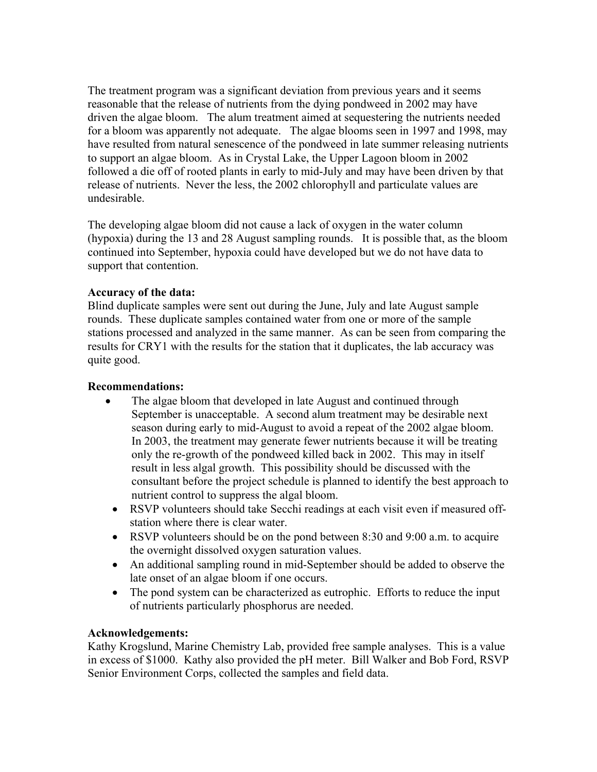The treatment program was a significant deviation from previous years and it seems reasonable that the release of nutrients from the dying pondweed in 2002 may have driven the algae bloom. The alum treatment aimed at sequestering the nutrients needed for a bloom was apparently not adequate. The algae blooms seen in 1997 and 1998, may have resulted from natural senescence of the pondweed in late summer releasing nutrients to support an algae bloom. As in Crystal Lake, the Upper Lagoon bloom in 2002 followed a die off of rooted plants in early to mid-July and may have been driven by that release of nutrients. Never the less, the 2002 chlorophyll and particulate values are undesirable.

The developing algae bloom did not cause a lack of oxygen in the water column (hypoxia) during the 13 and 28 August sampling rounds. It is possible that, as the bloom continued into September, hypoxia could have developed but we do not have data to support that contention.

## **Accuracy of the data:**

Blind duplicate samples were sent out during the June, July and late August sample rounds. These duplicate samples contained water from one or more of the sample stations processed and analyzed in the same manner. As can be seen from comparing the results for CRY1 with the results for the station that it duplicates, the lab accuracy was quite good.

#### **Recommendations:**

- The algae bloom that developed in late August and continued through September is unacceptable. A second alum treatment may be desirable next season during early to mid-August to avoid a repeat of the 2002 algae bloom. In 2003, the treatment may generate fewer nutrients because it will be treating only the re-growth of the pondweed killed back in 2002. This may in itself result in less algal growth. This possibility should be discussed with the consultant before the project schedule is planned to identify the best approach to nutrient control to suppress the algal bloom.
- RSVP volunteers should take Secchi readings at each visit even if measured offstation where there is clear water.
- RSVP volunteers should be on the pond between 8:30 and 9:00 a.m. to acquire the overnight dissolved oxygen saturation values.
- An additional sampling round in mid-September should be added to observe the late onset of an algae bloom if one occurs.
- The pond system can be characterized as eutrophic. Efforts to reduce the input of nutrients particularly phosphorus are needed.

#### **Acknowledgements:**

Kathy Krogslund, Marine Chemistry Lab, provided free sample analyses. This is a value in excess of \$1000. Kathy also provided the pH meter. Bill Walker and Bob Ford, RSVP Senior Environment Corps, collected the samples and field data.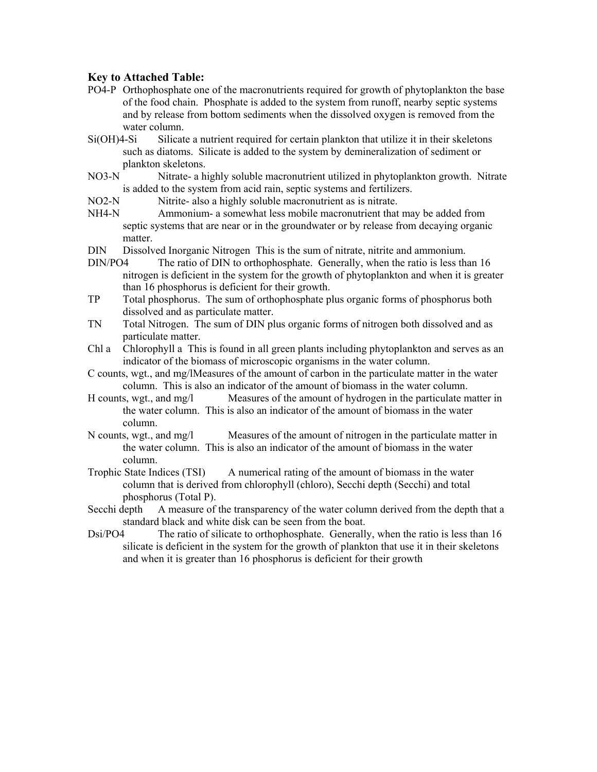#### **Key to Attached Table:**

- PO4-P Orthophosphate one of the macronutrients required for growth of phytoplankton the base of the food chain. Phosphate is added to the system from runoff, nearby septic systems and by release from bottom sediments when the dissolved oxygen is removed from the water column.
- Si(OH)4-Si Silicate a nutrient required for certain plankton that utilize it in their skeletons such as diatoms. Silicate is added to the system by demineralization of sediment or plankton skeletons.
- NO3-N Nitrate- a highly soluble macronutrient utilized in phytoplankton growth. Nitrate is added to the system from acid rain, septic systems and fertilizers.
- NO2-N Nitrite- also a highly soluble macronutrient as is nitrate.
- NH4-N Ammonium- a somewhat less mobile macronutrient that may be added from septic systems that are near or in the groundwater or by release from decaying organic matter.
- DIN Dissolved Inorganic Nitrogen This is the sum of nitrate, nitrite and ammonium.
- DIN/PO4 The ratio of DIN to orthophosphate. Generally, when the ratio is less than 16 nitrogen is deficient in the system for the growth of phytoplankton and when it is greater than 16 phosphorus is deficient for their growth.
- TP Total phosphorus. The sum of orthophosphate plus organic forms of phosphorus both dissolved and as particulate matter.
- TN Total Nitrogen. The sum of DIN plus organic forms of nitrogen both dissolved and as particulate matter.
- Chl a Chlorophyll a This is found in all green plants including phytoplankton and serves as an indicator of the biomass of microscopic organisms in the water column.
- C counts, wgt., and mg/l Measures of the amount of carbon in the particulate matter in the water column. This is also an indicator of the amount of biomass in the water column.
- H counts, wgt., and mg/l Measures of the amount of hydrogen in the particulate matter in the water column. This is also an indicator of the amount of biomass in the water column.
- N counts, wgt., and mg/l Measures of the amount of nitrogen in the particulate matter in the water column. This is also an indicator of the amount of biomass in the water column.
- Trophic State Indices (TSI) A numerical rating of the amount of biomass in the water column that is derived from chlorophyll (chloro), Secchi depth (Secchi) and total phosphorus (Total P).
- Secchi depth A measure of the transparency of the water column derived from the depth that a standard black and white disk can be seen from the boat.
- Dsi/PO4 The ratio of silicate to orthophosphate. Generally, when the ratio is less than 16 silicate is deficient in the system for the growth of plankton that use it in their skeletons and when it is greater than 16 phosphorus is deficient for their growth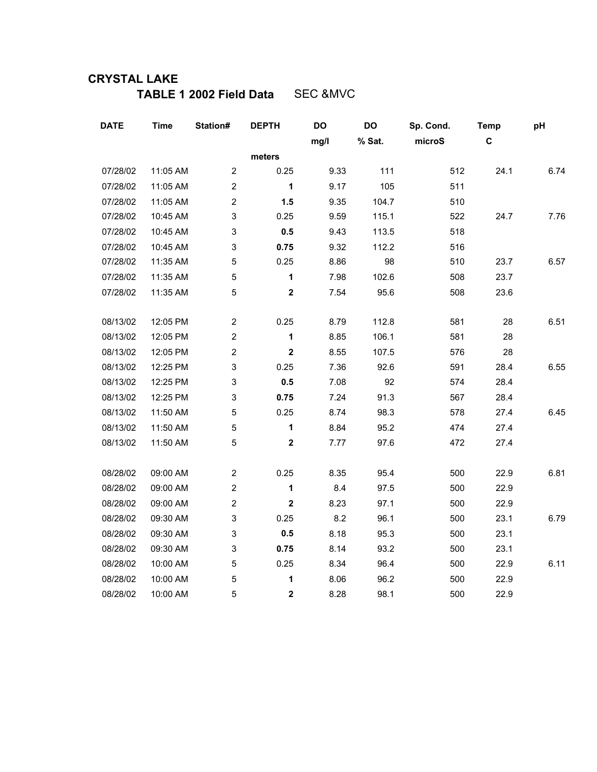# **CRYSTAL LAKE**

**TABLE 1 2002 Field Data** SEC &MVC

| <b>DATE</b> | <b>Time</b> | Station#       | <b>DEPTH</b> | DO   | DO     | Sp. Cond. | <b>Temp</b> | pH   |
|-------------|-------------|----------------|--------------|------|--------|-----------|-------------|------|
|             |             |                |              | mg/l | % Sat. | microS    | C           |      |
|             |             |                | meters       |      |        |           |             |      |
| 07/28/02    | 11:05 AM    | $\mathbf{2}$   | 0.25         | 9.33 | 111    | 512       | 24.1        | 6.74 |
| 07/28/02    | 11:05 AM    | $\mathbf 2$    | 1            | 9.17 | 105    | 511       |             |      |
| 07/28/02    | 11:05 AM    | $\overline{2}$ | 1.5          | 9.35 | 104.7  | 510       |             |      |
| 07/28/02    | 10:45 AM    | 3              | 0.25         | 9.59 | 115.1  | 522       | 24.7        | 7.76 |
| 07/28/02    | 10:45 AM    | 3              | $0.5\,$      | 9.43 | 113.5  | 518       |             |      |
| 07/28/02    | 10:45 AM    | 3              | 0.75         | 9.32 | 112.2  | 516       |             |      |
| 07/28/02    | 11:35 AM    | 5              | 0.25         | 8.86 | 98     | 510       | 23.7        | 6.57 |
| 07/28/02    | 11:35 AM    | 5              | 1            | 7.98 | 102.6  | 508       | 23.7        |      |
| 07/28/02    | 11:35 AM    | 5              | $\mathbf 2$  | 7.54 | 95.6   | 508       | 23.6        |      |
| 08/13/02    | 12:05 PM    | $\overline{2}$ | 0.25         | 8.79 | 112.8  | 581       | 28          | 6.51 |
| 08/13/02    | 12:05 PM    | $\mathbf 2$    | 1            | 8.85 | 106.1  | 581       | 28          |      |
| 08/13/02    | 12:05 PM    | $\mathbf 2$    | $\mathbf 2$  | 8.55 | 107.5  | 576       | 28          |      |
| 08/13/02    | 12:25 PM    | 3              | 0.25         | 7.36 | 92.6   | 591       | 28.4        | 6.55 |
| 08/13/02    | 12:25 PM    | 3              | 0.5          | 7.08 | 92     | 574       | 28.4        |      |
| 08/13/02    | 12:25 PM    | 3              | 0.75         | 7.24 | 91.3   | 567       | 28.4        |      |
| 08/13/02    | 11:50 AM    | $\mathbf 5$    | 0.25         | 8.74 | 98.3   | 578       | 27.4        | 6.45 |
| 08/13/02    | 11:50 AM    | 5              | 1            | 8.84 | 95.2   | 474       | 27.4        |      |
| 08/13/02    | 11:50 AM    | 5              | $\mathbf{2}$ | 7.77 | 97.6   | 472       | 27.4        |      |
| 08/28/02    | 09:00 AM    | $\overline{c}$ | 0.25         | 8.35 | 95.4   | 500       | 22.9        | 6.81 |
| 08/28/02    | 09:00 AM    | $\overline{2}$ | 1            | 8.4  | 97.5   | 500       | 22.9        |      |
| 08/28/02    | 09:00 AM    | $\overline{c}$ | $\mathbf 2$  | 8.23 | 97.1   | 500       | 22.9        |      |
| 08/28/02    | 09:30 AM    | 3              | 0.25         | 8.2  | 96.1   | 500       | 23.1        | 6.79 |
| 08/28/02    | 09:30 AM    | 3              | 0.5          | 8.18 | 95.3   | 500       | 23.1        |      |
| 08/28/02    | 09:30 AM    | 3              | 0.75         | 8.14 | 93.2   | 500       | 23.1        |      |
| 08/28/02    | 10:00 AM    | 5              | 0.25         | 8.34 | 96.4   | 500       | 22.9        | 6.11 |
| 08/28/02    | 10:00 AM    | 5              | 1            | 8.06 | 96.2   | 500       | 22.9        |      |
| 08/28/02    | 10:00 AM    | 5              | $\mathbf 2$  | 8.28 | 98.1   | 500       | 22.9        |      |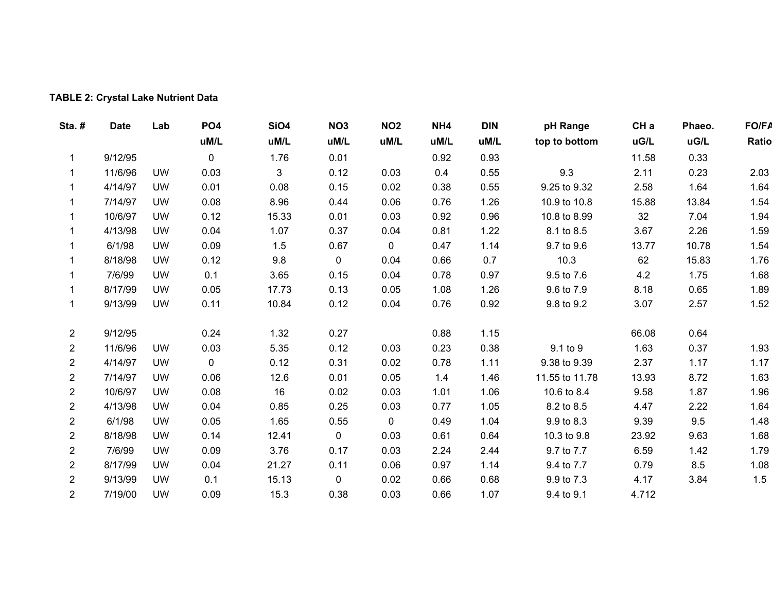## **TABLE 2: Crystal Lake Nutrient Data**

| Sta.#          | <b>Date</b> | Lab       | PO <sub>4</sub> | <b>SiO4</b> | NO <sub>3</sub> | <b>NO2</b>  | NH4  | <b>DIN</b> | pH Range       | CH <sub>a</sub> | Phaeo. | <b>FO/FA</b> |
|----------------|-------------|-----------|-----------------|-------------|-----------------|-------------|------|------------|----------------|-----------------|--------|--------------|
|                |             |           | uM/L            | uM/L        | uM/L            | uM/L        | uM/L | uM/L       | top to bottom  | uG/L            | uG/L   | Ratio        |
| 1              | 9/12/95     |           | 0               | 1.76        | 0.01            |             | 0.92 | 0.93       |                | 11.58           | 0.33   |              |
|                | 11/6/96     | <b>UW</b> | 0.03            | 3           | 0.12            | 0.03        | 0.4  | 0.55       | 9.3            | 2.11            | 0.23   | 2.03         |
|                | 4/14/97     | <b>UW</b> | 0.01            | 0.08        | 0.15            | 0.02        | 0.38 | 0.55       | 9.25 to 9.32   | 2.58            | 1.64   | 1.64         |
|                | 7/14/97     | UW        | 0.08            | 8.96        | 0.44            | 0.06        | 0.76 | 1.26       | 10.9 to 10.8   | 15.88           | 13.84  | 1.54         |
| 1              | 10/6/97     | <b>UW</b> | 0.12            | 15.33       | 0.01            | 0.03        | 0.92 | 0.96       | 10.8 to 8.99   | 32              | 7.04   | 1.94         |
|                | 4/13/98     | <b>UW</b> | 0.04            | 1.07        | 0.37            | 0.04        | 0.81 | 1.22       | 8.1 to 8.5     | 3.67            | 2.26   | 1.59         |
|                | 6/1/98      | <b>UW</b> | 0.09            | 1.5         | 0.67            | $\mathbf 0$ | 0.47 | 1.14       | 9.7 to 9.6     | 13.77           | 10.78  | 1.54         |
|                | 8/18/98     | <b>UW</b> | 0.12            | 9.8         | $\mathbf 0$     | 0.04        | 0.66 | 0.7        | 10.3           | 62              | 15.83  | 1.76         |
|                | 7/6/99      | <b>UW</b> | 0.1             | 3.65        | 0.15            | 0.04        | 0.78 | 0.97       | 9.5 to 7.6     | 4.2             | 1.75   | 1.68         |
| 1              | 8/17/99     | <b>UW</b> | 0.05            | 17.73       | 0.13            | 0.05        | 1.08 | 1.26       | 9.6 to 7.9     | 8.18            | 0.65   | 1.89         |
| 1              | 9/13/99     | <b>UW</b> | 0.11            | 10.84       | 0.12            | 0.04        | 0.76 | 0.92       | 9.8 to 9.2     | 3.07            | 2.57   | 1.52         |
| $\overline{2}$ | 9/12/95     |           | 0.24            | 1.32        | 0.27            |             | 0.88 | 1.15       |                | 66.08           | 0.64   |              |
| 2              | 11/6/96     | <b>UW</b> | 0.03            | 5.35        | 0.12            | 0.03        | 0.23 | 0.38       | 9.1 to 9       | 1.63            | 0.37   | 1.93         |
| $\overline{2}$ | 4/14/97     | <b>UW</b> | $\mathbf 0$     | 0.12        | 0.31            | 0.02        | 0.78 | 1.11       | 9.38 to 9.39   | 2.37            | 1.17   | 1.17         |
| $\mathbf{2}$   | 7/14/97     | <b>UW</b> | 0.06            | 12.6        | 0.01            | 0.05        | 1.4  | 1.46       | 11.55 to 11.78 | 13.93           | 8.72   | 1.63         |
| $\mathbf{2}$   | 10/6/97     | <b>UW</b> | 0.08            | 16          | 0.02            | 0.03        | 1.01 | 1.06       | 10.6 to 8.4    | 9.58            | 1.87   | 1.96         |
| $\overline{2}$ | 4/13/98     | <b>UW</b> | 0.04            | 0.85        | 0.25            | 0.03        | 0.77 | 1.05       | 8.2 to 8.5     | 4.47            | 2.22   | 1.64         |
| $\overline{2}$ | 6/1/98      | <b>UW</b> | 0.05            | 1.65        | 0.55            | $\mathbf 0$ | 0.49 | 1.04       | 9.9 to 8.3     | 9.39            | 9.5    | 1.48         |
| $\overline{2}$ | 8/18/98     | <b>UW</b> | 0.14            | 12.41       | $\mathbf 0$     | 0.03        | 0.61 | 0.64       | 10.3 to 9.8    | 23.92           | 9.63   | 1.68         |
| $\overline{c}$ | 7/6/99      | <b>UW</b> | 0.09            | 3.76        | 0.17            | 0.03        | 2.24 | 2.44       | 9.7 to 7.7     | 6.59            | 1.42   | 1.79         |
| $\overline{2}$ | 8/17/99     | UW        | 0.04            | 21.27       | 0.11            | 0.06        | 0.97 | 1.14       | 9.4 to 7.7     | 0.79            | 8.5    | 1.08         |
| $\overline{c}$ | 9/13/99     | <b>UW</b> | 0.1             | 15.13       | $\mathbf 0$     | 0.02        | 0.66 | 0.68       | 9.9 to 7.3     | 4.17            | 3.84   | 1.5          |
| $\overline{2}$ | 7/19/00     | <b>UW</b> | 0.09            | 15.3        | 0.38            | 0.03        | 0.66 | 1.07       | 9.4 to 9.1     | 4.712           |        |              |
|                |             |           |                 |             |                 |             |      |            |                |                 |        |              |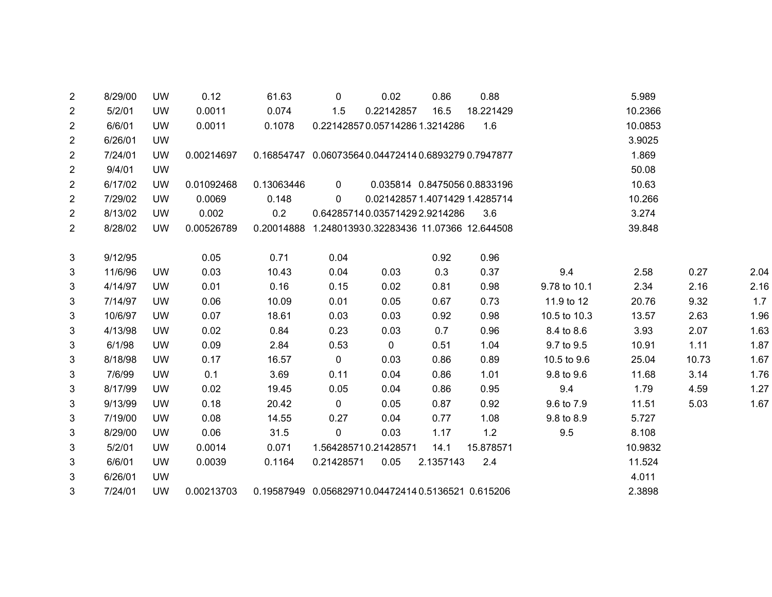| 2              | 8/29/00 | <b>UW</b> | 0.12       | 61.63                                               | 0              | 0.02                          | 0.86                         | 0.88      |              | 5.989   |       |      |
|----------------|---------|-----------|------------|-----------------------------------------------------|----------------|-------------------------------|------------------------------|-----------|--------------|---------|-------|------|
| $\overline{2}$ | 5/2/01  | <b>UW</b> | 0.0011     | 0.074                                               | 1.5            | 0.22142857                    | 16.5                         | 18.221429 |              | 10.2366 |       |      |
| 2              | 6/6/01  | <b>UW</b> | 0.0011     | 0.1078                                              |                | 0.221428570.057142861.3214286 |                              | 1.6       |              | 10.0853 |       |      |
| 2              | 6/26/01 | <b>UW</b> |            |                                                     |                |                               |                              |           |              | 3.9025  |       |      |
| 2              | 7/24/01 | <b>UW</b> | 0.00214697 | 0.16854747  0.060735640.044724140.68932790.7947877  |                |                               |                              |           |              | 1.869   |       |      |
| 2              | 9/4/01  | <b>UW</b> |            |                                                     |                |                               |                              |           |              | 50.08   |       |      |
| 2              | 6/17/02 | <b>UW</b> | 0.01092468 | 0.13063446                                          | $\overline{0}$ |                               | 0.035814 0.8475056 0.8833196 |           |              | 10.63   |       |      |
| 2              | 7/29/02 | <b>UW</b> | 0.0069     | 0.148                                               | $\Omega$       | 0.021428571.40714291.4285714  |                              |           |              | 10.266  |       |      |
| $\overline{2}$ | 8/13/02 | <b>UW</b> | 0.002      | 0.2                                                 |                | 0.642857140.035714292.9214286 |                              | 3.6       |              | 3.274   |       |      |
| $\mathbf{2}$   | 8/28/02 | <b>UW</b> | 0.00526789 | 0.20014888 1.248013930.32283436 11.07366 12.644508  |                |                               |                              |           |              | 39.848  |       |      |
|                |         |           |            |                                                     |                |                               |                              |           |              |         |       |      |
| 3              | 9/12/95 |           | 0.05       | 0.71                                                | 0.04           |                               | 0.92                         | 0.96      |              |         |       |      |
| 3              | 11/6/96 | <b>UW</b> | 0.03       | 10.43                                               | 0.04           | 0.03                          | 0.3                          | 0.37      | 9.4          | 2.58    | 0.27  | 2.04 |
| 3              | 4/14/97 | <b>UW</b> | 0.01       | 0.16                                                | 0.15           | 0.02                          | 0.81                         | 0.98      | 9.78 to 10.1 | 2.34    | 2.16  | 2.16 |
| 3              | 7/14/97 | <b>UW</b> | 0.06       | 10.09                                               | 0.01           | 0.05                          | 0.67                         | 0.73      | 11.9 to 12   | 20.76   | 9.32  | 1.7  |
| 3              | 10/6/97 | <b>UW</b> | 0.07       | 18.61                                               | 0.03           | 0.03                          | 0.92                         | 0.98      | 10.5 to 10.3 | 13.57   | 2.63  | 1.96 |
| 3              | 4/13/98 | <b>UW</b> | 0.02       | 0.84                                                | 0.23           | 0.03                          | 0.7                          | 0.96      | 8.4 to 8.6   | 3.93    | 2.07  | 1.63 |
| 3              | 6/1/98  | <b>UW</b> | 0.09       | 2.84                                                | 0.53           | $\mathbf 0$                   | 0.51                         | 1.04      | 9.7 to 9.5   | 10.91   | 1.11  | 1.87 |
| 3              | 8/18/98 | <b>UW</b> | 0.17       | 16.57                                               | $\mathbf 0$    | 0.03                          | 0.86                         | 0.89      | 10.5 to 9.6  | 25.04   | 10.73 | 1.67 |
| 3              | 7/6/99  | <b>UW</b> | 0.1        | 3.69                                                | 0.11           | 0.04                          | 0.86                         | 1.01      | 9.8 to 9.6   | 11.68   | 3.14  | 1.76 |
| 3              | 8/17/99 | <b>UW</b> | 0.02       | 19.45                                               | 0.05           | 0.04                          | 0.86                         | 0.95      | 9.4          | 1.79    | 4.59  | 1.27 |
| 3              | 9/13/99 | <b>UW</b> | 0.18       | 20.42                                               | $\mathbf 0$    | 0.05                          | 0.87                         | 0.92      | 9.6 to 7.9   | 11.51   | 5.03  | 1.67 |
| 3              | 7/19/00 | <b>UW</b> | 0.08       | 14.55                                               | 0.27           | 0.04                          | 0.77                         | 1.08      | 9.8 to 8.9   | 5.727   |       |      |
| 3              | 8/29/00 | <b>UW</b> | 0.06       | 31.5                                                | 0              | 0.03                          | 1.17                         | 1.2       | 9.5          | 8.108   |       |      |
| 3              | 5/2/01  | <b>UW</b> | 0.0014     | 0.071                                               |                | 1.564285710.21428571          | 14.1                         | 15.878571 |              | 10.9832 |       |      |
| 3              | 6/6/01  | <b>UW</b> | 0.0039     | 0.1164                                              | 0.21428571     | 0.05                          | 2.1357143                    | 2.4       |              | 11.524  |       |      |
| 3              | 6/26/01 | <b>UW</b> |            |                                                     |                |                               |                              |           |              | 4.011   |       |      |
| 3              | 7/24/01 | <b>UW</b> | 0.00213703 | 0.19587949  0.056829710.044724140.5136521  0.615206 |                |                               |                              |           |              | 2.3898  |       |      |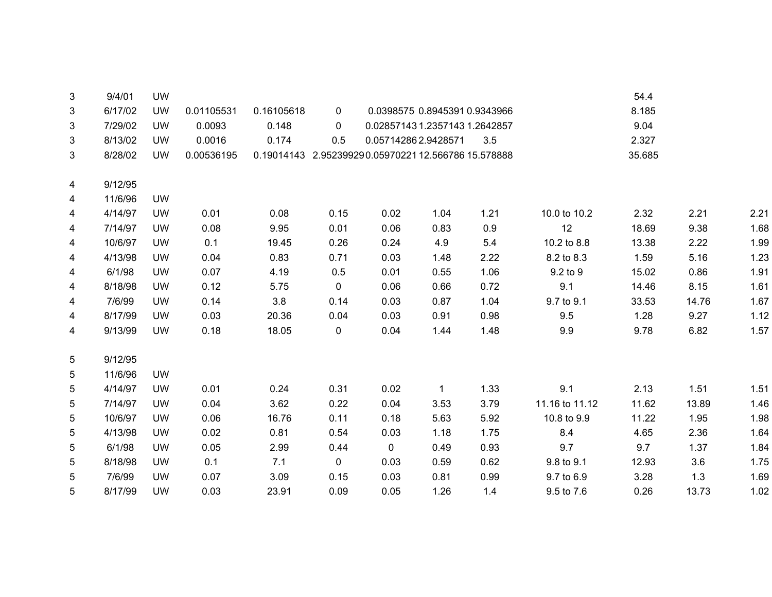| 3 | 9/4/01  | <b>UW</b> |            |            |             |                                                     |             |                               |                | 54.4   |       |      |
|---|---------|-----------|------------|------------|-------------|-----------------------------------------------------|-------------|-------------------------------|----------------|--------|-------|------|
| 3 | 6/17/02 | <b>UW</b> | 0.01105531 | 0.16105618 | 0           |                                                     |             | 0.0398575 0.8945391 0.9343966 |                | 8.185  |       |      |
| 3 | 7/29/02 | <b>UW</b> | 0.0093     | 0.148      | 0           | 0.02857143 1.2357143 1.2642857                      |             |                               |                | 9.04   |       |      |
| 3 | 8/13/02 | <b>UW</b> | 0.0016     | 0.174      | 0.5         | 0.057142862.9428571                                 |             | 3.5                           |                | 2.327  |       |      |
| 3 | 8/28/02 | <b>UW</b> | 0.00536195 |            |             | 0.19014143 2.952399290.05970221 12.566786 15.578888 |             |                               |                | 35.685 |       |      |
| 4 | 9/12/95 |           |            |            |             |                                                     |             |                               |                |        |       |      |
| 4 | 11/6/96 | <b>UW</b> |            |            |             |                                                     |             |                               |                |        |       |      |
| 4 | 4/14/97 | <b>UW</b> | 0.01       | 0.08       | 0.15        | 0.02                                                | 1.04        | 1.21                          | 10.0 to 10.2   | 2.32   | 2.21  | 2.21 |
| 4 | 7/14/97 | <b>UW</b> | 0.08       | 9.95       | 0.01        | 0.06                                                | 0.83        | 0.9                           | 12             | 18.69  | 9.38  | 1.68 |
| 4 | 10/6/97 | <b>UW</b> | 0.1        | 19.45      | 0.26        | 0.24                                                | 4.9         | 5.4                           | 10.2 to 8.8    | 13.38  | 2.22  | 1.99 |
| 4 | 4/13/98 | <b>UW</b> | 0.04       | 0.83       | 0.71        | 0.03                                                | 1.48        | 2.22                          | 8.2 to 8.3     | 1.59   | 5.16  | 1.23 |
| 4 | 6/1/98  | <b>UW</b> | 0.07       | 4.19       | 0.5         | 0.01                                                | 0.55        | 1.06                          | 9.2 to 9       | 15.02  | 0.86  | 1.91 |
| 4 | 8/18/98 | <b>UW</b> | 0.12       | 5.75       | $\mathbf 0$ | 0.06                                                | 0.66        | 0.72                          | 9.1            | 14.46  | 8.15  | 1.61 |
| 4 | 7/6/99  | <b>UW</b> | 0.14       | 3.8        | 0.14        | 0.03                                                | 0.87        | 1.04                          | 9.7 to 9.1     | 33.53  | 14.76 | 1.67 |
| 4 | 8/17/99 | <b>UW</b> | 0.03       | 20.36      | 0.04        | 0.03                                                | 0.91        | 0.98                          | 9.5            | 1.28   | 9.27  | 1.12 |
| 4 | 9/13/99 | <b>UW</b> | 0.18       | 18.05      | 0           | 0.04                                                | 1.44        | 1.48                          | 9.9            | 9.78   | 6.82  | 1.57 |
| 5 | 9/12/95 |           |            |            |             |                                                     |             |                               |                |        |       |      |
| 5 | 11/6/96 | <b>UW</b> |            |            |             |                                                     |             |                               |                |        |       |      |
| 5 | 4/14/97 | <b>UW</b> | 0.01       | 0.24       | 0.31        | 0.02                                                | $\mathbf 1$ | 1.33                          | 9.1            | 2.13   | 1.51  | 1.51 |
| 5 | 7/14/97 | <b>UW</b> | 0.04       | 3.62       | 0.22        | 0.04                                                | 3.53        | 3.79                          | 11.16 to 11.12 | 11.62  | 13.89 | 1.46 |
| 5 | 10/6/97 | <b>UW</b> | 0.06       | 16.76      | 0.11        | 0.18                                                | 5.63        | 5.92                          | 10.8 to 9.9    | 11.22  | 1.95  | 1.98 |
| 5 | 4/13/98 | <b>UW</b> | 0.02       | 0.81       | 0.54        | 0.03                                                | 1.18        | 1.75                          | 8.4            | 4.65   | 2.36  | 1.64 |
| 5 | 6/1/98  | <b>UW</b> | 0.05       | 2.99       | 0.44        | 0                                                   | 0.49        | 0.93                          | 9.7            | 9.7    | 1.37  | 1.84 |
| 5 | 8/18/98 | <b>UW</b> | 0.1        | 7.1        | $\mathbf 0$ | 0.03                                                | 0.59        | 0.62                          | 9.8 to 9.1     | 12.93  | 3.6   | 1.75 |
| 5 | 7/6/99  | <b>UW</b> | 0.07       | 3.09       | 0.15        | 0.03                                                | 0.81        | 0.99                          | 9.7 to 6.9     | 3.28   | 1.3   | 1.69 |
| 5 | 8/17/99 | <b>UW</b> | 0.03       | 23.91      | 0.09        | 0.05                                                | 1.26        | 1.4                           | 9.5 to 7.6     | 0.26   | 13.73 | 1.02 |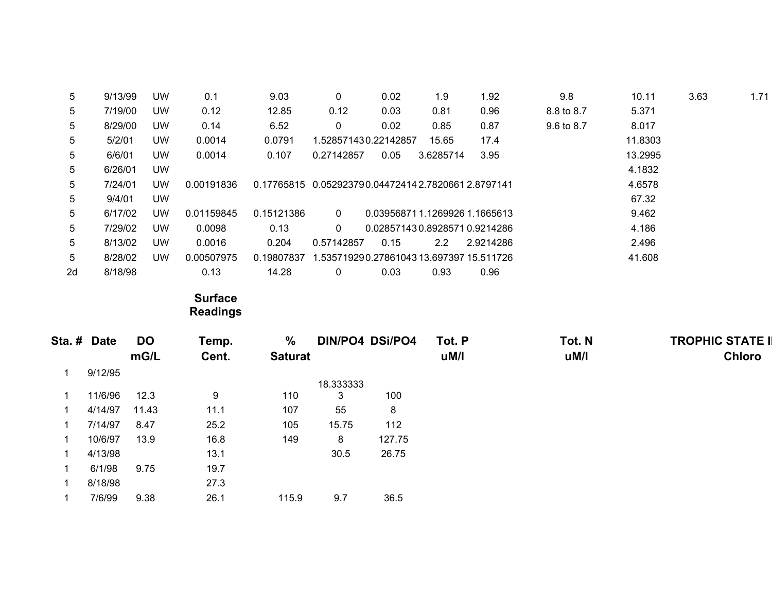| 5  | 9/13/99 | UW        | 0.1        | 9.03       | 0                                                      | 0.02 | 1.9                                      | 1.92      | 9.8        | 10.11   | 3.63 | 1.71 |
|----|---------|-----------|------------|------------|--------------------------------------------------------|------|------------------------------------------|-----------|------------|---------|------|------|
| 5  | 7/19/00 | <b>UW</b> | 0.12       | 12.85      | 0.12                                                   | 0.03 | 0.81                                     | 0.96      | 8.8 to 8.7 | 5.371   |      |      |
| 5  | 8/29/00 | <b>UW</b> | 0.14       | 6.52       | 0                                                      | 0.02 | 0.85                                     | 0.87      | 9.6 to 8.7 | 8.017   |      |      |
| 5  | 5/2/01  | <b>UW</b> | 0.0014     | 0.0791     | 1.528571430.22142857                                   |      | 15.65                                    | 17.4      |            | 11.8303 |      |      |
| 5  | 6/6/01  | <b>UW</b> | 0.0014     | 0.107      | 0.27142857                                             | 0.05 | 3.6285714                                | 3.95      |            | 13.2995 |      |      |
| 5  | 6/26/01 | UW.       |            |            |                                                        |      |                                          |           |            | 4.1832  |      |      |
| 5  | 7/24/01 | UW        | 0.00191836 |            | 0.17765815  0.052923790.04472414  2.7820661  2.8797141 |      |                                          |           |            | 4.6578  |      |      |
| 5  | 9/4/01  | <b>UW</b> |            |            |                                                        |      |                                          |           |            | 67.32   |      |      |
| 5  | 6/17/02 | UW        | 0.01159845 | 0.15121386 | $\mathbf{0}$                                           |      | 0.039568711.12699261.1665613             |           |            | 9.462   |      |      |
| 5  | 7/29/02 | <b>UW</b> | 0.0098     | 0.13       | $\mathbf{0}$                                           |      | 0.028571430.89285710.9214286             |           |            | 4.186   |      |      |
| 5  | 8/13/02 | <b>UW</b> | 0.0016     | 0.204      | 0.57142857                                             | 0.15 | $2.2^{\circ}$                            | 2.9214286 |            | 2.496   |      |      |
| 5  | 8/28/02 | <b>UW</b> | 0.00507975 | 0.19807837 |                                                        |      | 1.535719290.27861043 13.697397 15.511726 |           |            | 41.608  |      |      |
| 2d | 8/18/98 |           | 0.13       | 14.28      | 0                                                      | 0.03 | 0.93                                     | 0.96      |            |         |      |      |

**Surface Readings** 

| Sta. # Date |         | <b>DO</b> | Temp. | $\%$           |           | <b>DIN/PO4 DSi/PO4</b> | Tot. P | Tot. N | <b>TROPHIC STATE I</b> |
|-------------|---------|-----------|-------|----------------|-----------|------------------------|--------|--------|------------------------|
|             |         | mG/L      | Cent. | <b>Saturat</b> |           |                        | uM/l   | uM/l   | <b>Chloro</b>          |
|             | 9/12/95 |           |       |                |           |                        |        |        |                        |
|             |         |           |       |                | 18.333333 |                        |        |        |                        |
|             | 11/6/96 | 12.3      | 9     | 110            | 3         | 100                    |        |        |                        |
|             | 4/14/97 | 11.43     | 11.1  | 107            | 55        | 8                      |        |        |                        |
|             | 7/14/97 | 8.47      | 25.2  | 105            | 15.75     | 112                    |        |        |                        |
|             | 10/6/97 | 13.9      | 16.8  | 149            | 8         | 127.75                 |        |        |                        |
|             | 4/13/98 |           | 13.1  |                | 30.5      | 26.75                  |        |        |                        |
|             | 6/1/98  | 9.75      | 19.7  |                |           |                        |        |        |                        |
|             | 8/18/98 |           | 27.3  |                |           |                        |        |        |                        |
|             | 7/6/99  | 9.38      | 26.1  | 115.9          | 9.7       | 36.5                   |        |        |                        |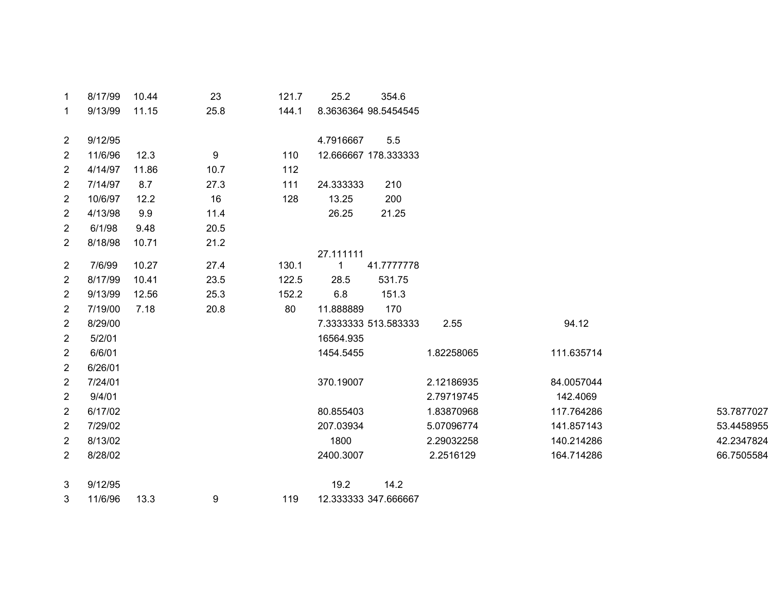| 1                       | 8/17/99 | 10.44 | 23   | 121.7 | 25.2         | 354.6                |            |            |            |
|-------------------------|---------|-------|------|-------|--------------|----------------------|------------|------------|------------|
| $\mathbf 1$             | 9/13/99 | 11.15 | 25.8 | 144.1 |              | 8.3636364 98.5454545 |            |            |            |
| $\overline{2}$          | 9/12/95 |       |      |       | 4.7916667    | 5.5                  |            |            |            |
| $\overline{2}$          | 11/6/96 | 12.3  | 9    | 110   |              | 12.666667 178.333333 |            |            |            |
| $\overline{2}$          | 4/14/97 | 11.86 | 10.7 | 112   |              |                      |            |            |            |
| 2                       | 7/14/97 | 8.7   | 27.3 | 111   | 24.333333    | 210                  |            |            |            |
| $\mathbf{2}$            | 10/6/97 | 12.2  | 16   | 128   | 13.25        | 200                  |            |            |            |
| $\overline{2}$          | 4/13/98 | 9.9   | 11.4 |       | 26.25        | 21.25                |            |            |            |
| $\overline{2}$          | 6/1/98  | 9.48  | 20.5 |       |              |                      |            |            |            |
| $\overline{c}$          | 8/18/98 | 10.71 | 21.2 |       |              |                      |            |            |            |
|                         |         |       |      |       | 27.111111    |                      |            |            |            |
| $\overline{2}$          | 7/6/99  | 10.27 | 27.4 | 130.1 | $\mathbf{1}$ | 41.7777778           |            |            |            |
| 2                       | 8/17/99 | 10.41 | 23.5 | 122.5 | 28.5         | 531.75               |            |            |            |
| $\overline{c}$          | 9/13/99 | 12.56 | 25.3 | 152.2 | 6.8          | 151.3                |            |            |            |
| $\overline{2}$          | 7/19/00 | 7.18  | 20.8 | 80    | 11.888889    | 170                  |            |            |            |
| $\overline{\mathbf{c}}$ | 8/29/00 |       |      |       |              | 7.3333333 513.583333 | 2.55       | 94.12      |            |
| $\overline{2}$          | 5/2/01  |       |      |       | 16564.935    |                      |            |            |            |
| $\overline{c}$          | 6/6/01  |       |      |       | 1454.5455    |                      | 1.82258065 | 111.635714 |            |
| $\overline{2}$          | 6/26/01 |       |      |       |              |                      |            |            |            |
| $\overline{c}$          | 7/24/01 |       |      |       | 370.19007    |                      | 2.12186935 | 84.0057044 |            |
| $\overline{c}$          | 9/4/01  |       |      |       |              |                      | 2.79719745 | 142.4069   |            |
| $\overline{2}$          | 6/17/02 |       |      |       | 80.855403    |                      | 1.83870968 | 117.764286 | 53.7877027 |
| $\overline{2}$          | 7/29/02 |       |      |       | 207.03934    |                      | 5.07096774 | 141.857143 | 53.4458955 |
| $\overline{c}$          | 8/13/02 |       |      |       | 1800         |                      | 2.29032258 | 140.214286 | 42.2347824 |
| $\overline{a}$          | 8/28/02 |       |      |       | 2400.3007    |                      | 2.2516129  | 164.714286 | 66.7505584 |
| 3                       | 9/12/95 |       |      |       | 19.2         | 14.2                 |            |            |            |
| 3                       | 11/6/96 | 13.3  | 9    | 119   |              | 12.333333 347.666667 |            |            |            |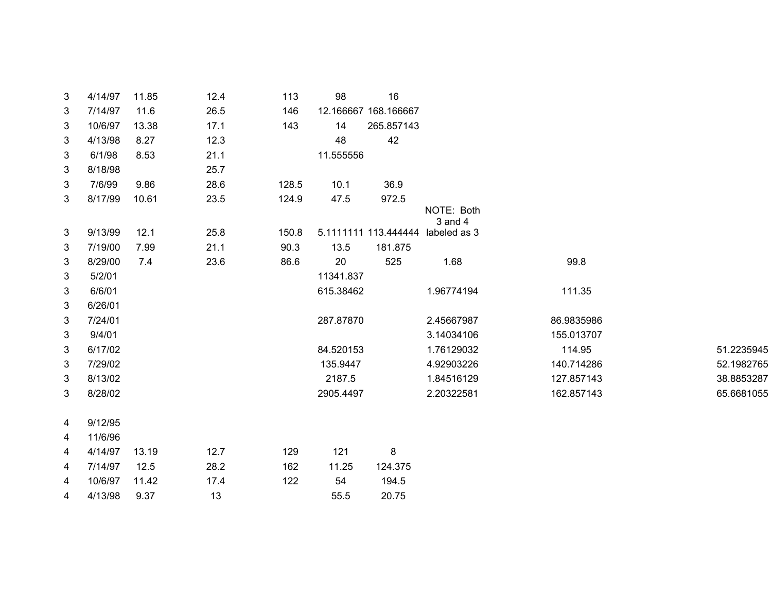| 3 | 4/14/97 | 11.85 | 12.4 | 113   | 98        | 16                   |                                   |            |            |
|---|---------|-------|------|-------|-----------|----------------------|-----------------------------------|------------|------------|
| 3 | 7/14/97 | 11.6  | 26.5 | 146   |           | 12.166667 168.166667 |                                   |            |            |
| 3 | 10/6/97 | 13.38 | 17.1 | 143   | 14        | 265.857143           |                                   |            |            |
| 3 | 4/13/98 | 8.27  | 12.3 |       | 48        | 42                   |                                   |            |            |
| 3 | 6/1/98  | 8.53  | 21.1 |       | 11.555556 |                      |                                   |            |            |
| 3 | 8/18/98 |       | 25.7 |       |           |                      |                                   |            |            |
| 3 | 7/6/99  | 9.86  | 28.6 | 128.5 | 10.1      | 36.9                 |                                   |            |            |
| 3 | 8/17/99 | 10.61 | 23.5 | 124.9 | 47.5      | 972.5                |                                   |            |            |
|   |         |       |      |       |           |                      | NOTE: Both<br>3 and 4             |            |            |
| 3 | 9/13/99 | 12.1  | 25.8 | 150.8 |           |                      | 5.1111111 113.444444 labeled as 3 |            |            |
| 3 | 7/19/00 | 7.99  | 21.1 | 90.3  | 13.5      | 181.875              |                                   |            |            |
| 3 | 8/29/00 | 7.4   | 23.6 | 86.6  | 20        | 525                  | 1.68                              | 99.8       |            |
| 3 | 5/2/01  |       |      |       | 11341.837 |                      |                                   |            |            |
| 3 | 6/6/01  |       |      |       | 615.38462 |                      | 1.96774194                        | 111.35     |            |
| 3 | 6/26/01 |       |      |       |           |                      |                                   |            |            |
| 3 | 7/24/01 |       |      |       | 287.87870 |                      | 2.45667987                        | 86.9835986 |            |
| 3 | 9/4/01  |       |      |       |           |                      | 3.14034106                        | 155.013707 |            |
| 3 | 6/17/02 |       |      |       | 84.520153 |                      | 1.76129032                        | 114.95     | 51.2235945 |
| 3 | 7/29/02 |       |      |       | 135.9447  |                      | 4.92903226                        | 140.714286 | 52.1982765 |
| 3 | 8/13/02 |       |      |       | 2187.5    |                      | 1.84516129                        | 127.857143 | 38.8853287 |
| 3 | 8/28/02 |       |      |       | 2905.4497 |                      | 2.20322581                        | 162.857143 | 65.6681055 |
|   |         |       |      |       |           |                      |                                   |            |            |
| 4 | 9/12/95 |       |      |       |           |                      |                                   |            |            |
| 4 | 11/6/96 |       |      |       |           |                      |                                   |            |            |
| 4 | 4/14/97 | 13.19 | 12.7 | 129   | 121       | 8                    |                                   |            |            |
| 4 | 7/14/97 | 12.5  | 28.2 | 162   | 11.25     | 124.375              |                                   |            |            |
| 4 | 10/6/97 | 11.42 | 17.4 | 122   | 54        | 194.5                |                                   |            |            |
| 4 | 4/13/98 | 9.37  | 13   |       | 55.5      | 20.75                |                                   |            |            |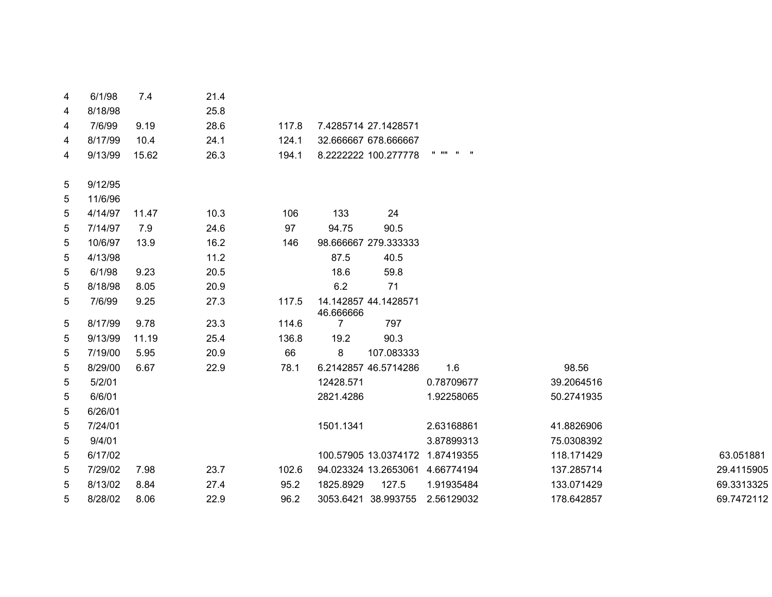| 4 | 6/1/98  | 7.4   | 21.4 |       |                |                                 |              |            |            |
|---|---------|-------|------|-------|----------------|---------------------------------|--------------|------------|------------|
| 4 | 8/18/98 |       | 25.8 |       |                |                                 |              |            |            |
| 4 | 7/6/99  | 9.19  | 28.6 | 117.8 |                | 7.4285714 27.1428571            |              |            |            |
| 4 | 8/17/99 | 10.4  | 24.1 | 124.1 |                | 32.666667 678.666667            |              |            |            |
| 4 | 9/13/99 | 15.62 | 26.3 | 194.1 |                | 8.2222222 100.277778            | $\mathbf{u}$ |            |            |
| 5 | 9/12/95 |       |      |       |                |                                 |              |            |            |
| 5 | 11/6/96 |       |      |       |                |                                 |              |            |            |
| 5 | 4/14/97 | 11.47 | 10.3 | 106   | 133            | 24                              |              |            |            |
| 5 | 7/14/97 | 7.9   | 24.6 | 97    | 94.75          | 90.5                            |              |            |            |
| 5 | 10/6/97 | 13.9  | 16.2 | 146   |                | 98.666667 279.333333            |              |            |            |
| 5 | 4/13/98 |       | 11.2 |       | 87.5           | 40.5                            |              |            |            |
| 5 | 6/1/98  | 9.23  | 20.5 |       | 18.6           | 59.8                            |              |            |            |
| 5 | 8/18/98 | 8.05  | 20.9 |       | 6.2            | 71                              |              |            |            |
| 5 | 7/6/99  | 9.25  | 27.3 | 117.5 | 46.666666      | 14.142857 44.1428571            |              |            |            |
| 5 | 8/17/99 | 9.78  | 23.3 | 114.6 | $\overline{7}$ | 797                             |              |            |            |
| 5 | 9/13/99 | 11.19 | 25.4 | 136.8 | 19.2           | 90.3                            |              |            |            |
| 5 | 7/19/00 | 5.95  | 20.9 | 66    | 8              | 107.083333                      |              |            |            |
| 5 | 8/29/00 | 6.67  | 22.9 | 78.1  |                | 6.2142857 46.5714286            | 1.6          | 98.56      |            |
| 5 | 5/2/01  |       |      |       | 12428.571      |                                 | 0.78709677   | 39.2064516 |            |
| 5 | 6/6/01  |       |      |       | 2821.4286      |                                 | 1.92258065   | 50.2741935 |            |
| 5 | 6/26/01 |       |      |       |                |                                 |              |            |            |
| 5 | 7/24/01 |       |      |       | 1501.1341      |                                 | 2.63168861   | 41.8826906 |            |
| 5 | 9/4/01  |       |      |       |                |                                 | 3.87899313   | 75.0308392 |            |
| 5 | 6/17/02 |       |      |       |                | 100.57905 13.0374172 1.87419355 |              | 118.171429 | 63.051881  |
| 5 | 7/29/02 | 7.98  | 23.7 | 102.6 |                | 94.023324 13.2653061            | 4.66774194   | 137.285714 | 29.4115905 |
| 5 | 8/13/02 | 8.84  | 27.4 | 95.2  | 1825.8929      | 127.5                           | 1.91935484   | 133.071429 | 69.3313325 |
| 5 | 8/28/02 | 8.06  | 22.9 | 96.2  |                | 3053.6421 38.993755             | 2.56129032   | 178.642857 | 69.7472112 |